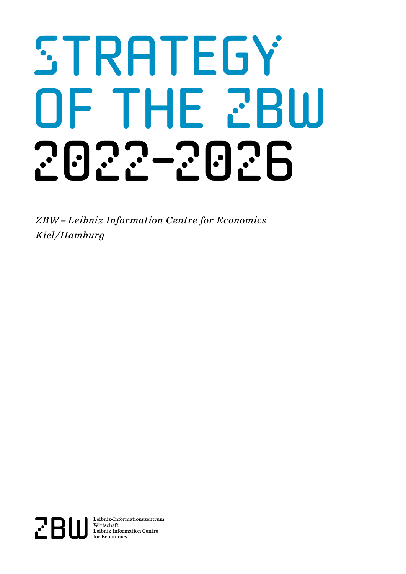# STRATEGY OF THE ZBW 2022-2026

*ZBW – Leibniz Information Centre for Economics Kiel/Hamburg*

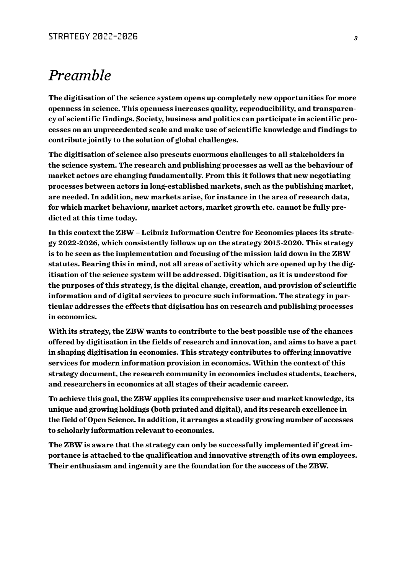## *Preamble*

**The digitisation of the science system opens up completely new opportunities for more openness in science. This openness increases quality, reproducibility, and transparency of scientific findings. Society, business and politics can participate in scientific processes on an unprecedented scale and make use of scientific knowledge and findings to contribute jointly to the solution of global challenges.**

**The digitisation of science also presents enormous challenges to all stakeholders in the science system. The research and publishing processes as well as the behaviour of market actors are changing fundamentally. From this it follows that new negotiating processes between actors in long-established markets, such as the publishing market, are needed. In addition, new markets arise, for instance in the area of research data, for which market behaviour, market actors, market growth etc. cannot be fully predicted at this time today.** 

**In this context the ZBW – Leibniz Information Centre for Economics places its strategy 2022-2026, which consistently follows up on the strategy 2015-2020. This strategy is to be seen as the implementation and focusing of the mission laid down in the ZBW statutes. Bearing this in mind, not all areas of activity which are opened up by the digitisation of the science system will be addressed. Digitisation, as it is understood for the purposes of this strategy, is the digital change, creation, and provision of scientific information and of digital services to procure such information. The strategy in particular addresses the effects that digisation has on research and publishing processes in economics.** 

**With its strategy, the ZBW wants to contribute to the best possible use of the chances offered by digitisation in the fields of research and innovation, and aims to have a part in shaping digitisation in economics. This strategy contributes to offering innovative services for modern information provision in economics. Within the context of this strategy document, the research community in economics includes students, teachers, and researchers in economics at all stages of their academic career.**

**To achieve this goal, the ZBW applies its comprehensive user and market knowledge, its unique and growing holdings (both printed and digital), and its research excellence in the field of Open Science. In addition, it arranges a steadily growing number of accesses to scholarly information relevant to economics.**

**The ZBW is aware that the strategy can only be successfully implemented if great importance is attached to the qualification and innovative strength of its own employees. Their enthusiasm and ingenuity are the foundation for the success of the ZBW.**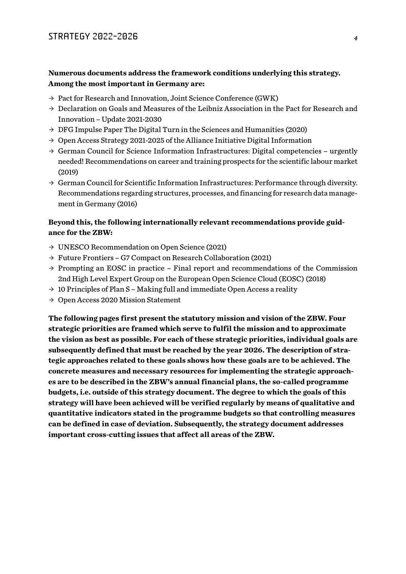#### **Numerous documents address the framework conditions underlying this strategy. Among the most important in Germany are:**

- $\rightarrow$  Pact for Research and Innovation, Joint Science Conference (GWK)
- $\rightarrow$  Declaration on Goals and Measures of the Leibniz Association in the Pact for Research and Innovation – Update 2021-2030
- $\rightarrow$  DFG Impulse Paper The Digital Turn in the Sciences and Humanities (2020)
- $\rightarrow$  Open Access Strategy 2021-2025 of the Alliance Initiative Digital Information
- $\rightarrow$  German Council for Science Information Infrastructures: Digital competencies urgently needed! Recommendations on career and training prospects for the scientific labour market (2019)
- $\rightarrow$  German Council for Scientific Information Infrastructures: Performance through diversity. Recommendations regarding structures, processes, and financing for research data management in Germany (2016)

#### **Beyond this, the following internationally relevant recommendations provide guidance for the ZBW:**

- $\rightarrow$  UNESCO Recommendation on Open Science (2021)
- $\rightarrow$  Future Frontiers G7 Compact on Research Collaboration (2021)
- $\rightarrow$  Prompting an EOSC in practice Final report and recommendations of the Commission 2nd High Level Expert Group on the European Open Science Cloud (EOSC) (2018)
- $\rightarrow$  10 Principles of Plan S Making full and immediate Open Access a reality
- $\rightarrow$  Open Access 2020 Mission Statement

**The following pages first present the statutory mission and vision of the ZBW. Four strategic priorities are framed which serve to fulfil the mission and to approximate the vision as best as possible. For each of these strategic priorities, individual goals are subsequently defined that must be reached by the year 2026. The description of strategic approaches related to these goals shows how these goals are to be achieved. The concrete measures and necessary resources for implementing the strategic approaches are to be described in the ZBW's annual financial plans, the so-called programme budgets, i.e. outside of this strategy document. The degree to which the goals of this strategy will have been achieved will be verified regularly by means of qualitative and quantitative indicators stated in the programme budgets so that controlling measures can be defined in case of deviation. Subsequently, the strategy document addresses important cross-cutting issues that affect all areas of the ZBW.**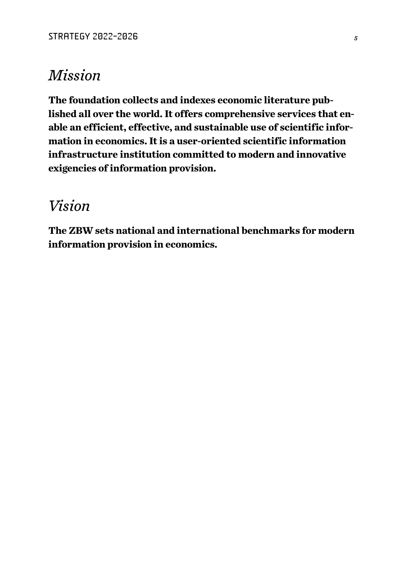# *Mission*

**The foundation collects and indexes economic literature published all over the world. It offers comprehensive services that enable an efficient, effective, and sustainable use of scientific information in economics. It is a user-oriented scientific information infrastructure institution committed to modern and innovative exigencies of information provision.**

# *Vision*

**The ZBW sets national and international benchmarks for modern information provision in economics.**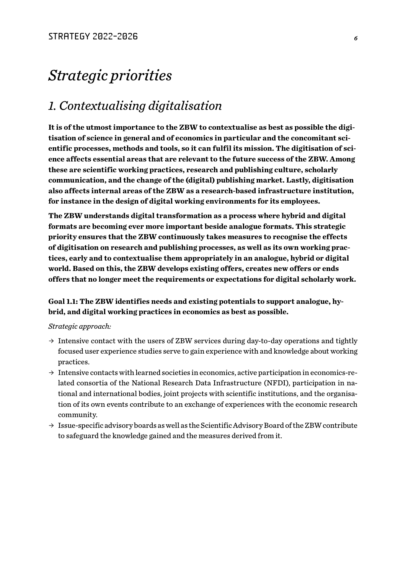# *Strategic priorities*

## *1. Contextualising digitalisation*

**It is of the utmost importance to the ZBW to contextualise as best as possible the digitisation of science in general and of economics in particular and the concomitant scientific processes, methods and tools, so it can fulfil its mission. The digitisation of science affects essential areas that are relevant to the future success of the ZBW. Among these are scientific working practices, research and publishing culture, scholarly communication, and the change of the (digital) publishing market. Lastly, digitisation also affects internal areas of the ZBW as a research-based infrastructure institution, for instance in the design of digital working environments for its employees.**

**The ZBW understands digital transformation as a process where hybrid and digital formats are becoming ever more important beside analogue formats. This strategic priority ensures that the ZBW continuously takes measures to recognise the effects of digitisation on research and publishing processes, as well as its own working practices, early and to contextualise them appropriately in an analogue, hybrid or digital world. Based on this, the ZBW develops existing offers, creates new offers or ends offers that no longer meet the requirements or expectations for digital scholarly work.**

#### **Goal 1.1: The ZBW identifies needs and existing potentials to support analogue, hybrid, and digital working practices in economics as best as possible.**

- $\rightarrow$  Intensive contact with the users of ZBW services during day-to-day operations and tightly focused user experience studies serve to gain experience with and knowledge about working practices.
- $\rightarrow$  Intensive contacts with learned societies in economics, active participation in economics-related consortia of the National Research Data Infrastructure (NFDI), participation in national and international bodies, joint projects with scientific institutions, and the organisation of its own events contribute to an exchange of experiences with the economic research community.
- $\rightarrow$  Issue-specific advisory boards as well as the Scientific Advisory Board of the ZBW contribute to safeguard the knowledge gained and the measures derived from it.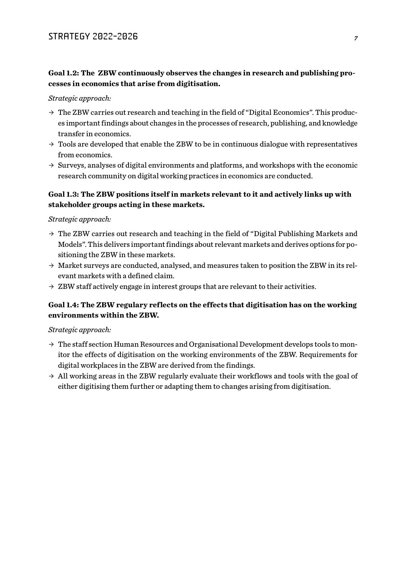#### **Goal 1.2: The ZBW continuously observes the changes in research and publishing processes in economics that arise from digitisation.**

*Strategic approach:* 

- $\rightarrow$  The ZBW carries out research and teaching in the field of "Digital Economics". This produces important findings about changes in the processes of research, publishing, and knowledge transfer in economics.
- $\rightarrow$  Tools are developed that enable the ZBW to be in continuous dialogue with representatives from economics.
- $\rightarrow$  Surveys, analyses of digital environments and platforms, and workshops with the economic research community on digital working practices in economics are conducted.

#### **Goal 1.3: The ZBW positions itself in markets relevant to it and actively links up with stakeholder groups acting in these markets.**

*Strategic approach:* 

- $\rightarrow$  The ZBW carries out research and teaching in the field of "Digital Publishing Markets and Models". This delivers important findings about relevant markets and derives options for positioning the ZBW in these markets.
- $\rightarrow$  Market surveys are conducted, analysed, and measures taken to position the ZBW in its relevant markets with a defined claim.
- $\rightarrow$  ZBW staff actively engage in interest groups that are relevant to their activities.

#### **Goal 1.4: The ZBW regulary reflects on the effects that digitisation has on the working environments within the ZBW.**

- $\rightarrow$  The staff section Human Resources and Organisational Development develops tools to monitor the effects of digitisation on the working environments of the ZBW. Requirements for digital workplaces in the ZBW are derived from the findings.
- $\rightarrow$  All working areas in the ZBW regularly evaluate their workflows and tools with the goal of either digitising them further or adapting them to changes arising from digitisation.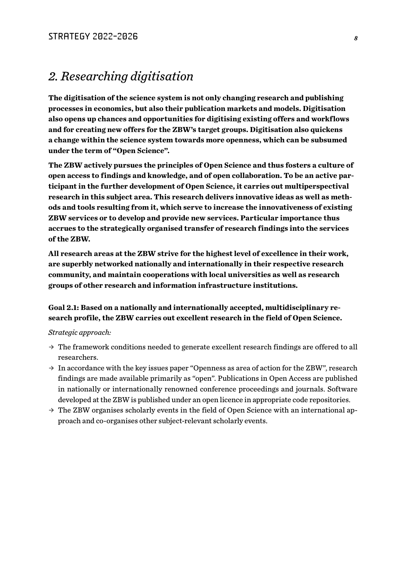### *2. Researching digitisation*

**The digitisation of the science system is not only changing research and publishing processes in economics, but also their publication markets and models. Digitisation also opens up chances and opportunities for digitising existing offers and workflows and for creating new offers for the ZBW's target groups. Digitisation also quickens a change within the science system towards more openness, which can be subsumed under the term of "Open Science".**

**The ZBW actively pursues the principles of Open Science and thus fosters a culture of open access to findings and knowledge, and of open collaboration. To be an active participant in the further development of Open Science, it carries out multiperspectival research in this subject area. This research delivers innovative ideas as well as methods and tools resulting from it, which serve to increase the innovativeness of existing ZBW services or to develop and provide new services. Particular importance thus accrues to the strategically organised transfer of research findings into the services of the ZBW.**

**All research areas at the ZBW strive for the highest level of excellence in their work, are superbly networked nationally and internationally in their respective research community, and maintain cooperations with local universities as well as research groups of other research and information infrastructure institutions.** 

#### **Goal 2.1: Based on a nationally and internationally accepted, multidisciplinary research profile, the ZBW carries out excellent research in the field of Open Science.**

- $\rightarrow$  The framework conditions needed to generate excellent research findings are offered to all researchers.
- $\rightarrow$  In accordance with the key issues paper "Openness as area of action for the ZBW", research findings are made available primarily as "open". Publications in Open Access are published in nationally or internationally renowned conference proceedings and journals. Software developed at the ZBW is published under an open licence in appropriate code repositories.
- $\rightarrow$  The ZBW organises scholarly events in the field of Open Science with an international approach and co-organises other subject-relevant scholarly events.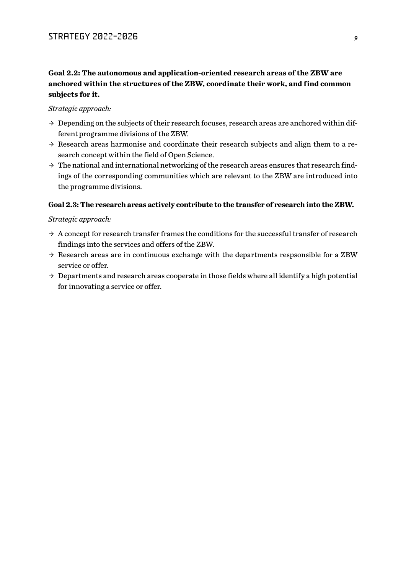#### **Goal 2.2: The autonomous and application-oriented research areas of the ZBW are anchored within the structures of the ZBW, coordinate their work, and find common subjects for it.**

#### *Strategic approach:*

- $\rightarrow$  Depending on the subjects of their research focuses, research areas are anchored within different programme divisions of the ZBW.
- $\rightarrow$  Research areas harmonise and coordinate their research subjects and align them to a research concept within the field of Open Science.
- $\rightarrow$  The national and international networking of the research areas ensures that research findings of the corresponding communities which are relevant to the ZBW are introduced into the programme divisions.

#### **Goal 2.3: The research areas actively contribute to the transfer of research into the ZBW.**

- $\rightarrow$  A concept for research transfer frames the conditions for the successful transfer of research findings into the services and offers of the ZBW.
- $\rightarrow$  Research areas are in continuous exchange with the departments respsonsible for a ZBW service or offer.
- $\rightarrow$  Departments and research areas cooperate in those fields where all identify a high potential for innovating a service or offer.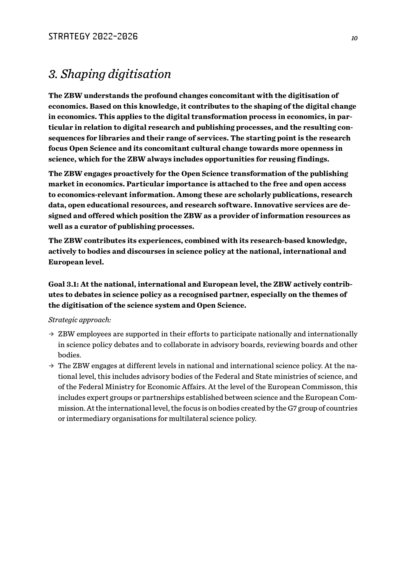## *3. Shaping digitisation*

**The ZBW understands the profound changes concomitant with the digitisation of economics. Based on this knowledge, it contributes to the shaping of the digital change in economics. This applies to the digital transformation process in economics, in particular in relation to digital research and publishing processes, and the resulting consequences for libraries and their range of services. The starting point is the research focus Open Science and its concomitant cultural change towards more openness in science, which for the ZBW always includes opportunities for reusing findings.**

**The ZBW engages proactively for the Open Science transformation of the publishing market in economics. Particular importance is attached to the free and open access to economics-relevant information. Among these are scholarly publications, research data, open educational resources, and research software. Innovative services are designed and offered which position the ZBW as a provider of information resources as well as a curator of publishing processes.**

**The ZBW contributes its experiences, combined with its research-based knowledge, actively to bodies and discourses in science policy at the national, international and European level.**

**Goal 3.1: At the national, international and European level, the ZBW actively contributes to debates in science policy as a recognised partner, especially on the themes of the digitisation of the science system and Open Science.**

- $\rightarrow$  ZBW employees are supported in their efforts to participate nationally and internationally in science policy debates and to collaborate in advisory boards, reviewing boards and other bodies.
- $\rightarrow$  The ZBW engages at different levels in national and international science policy. At the national level, this includes advisory bodies of the Federal and State ministries of science, and of the Federal Ministry for Economic Affairs. At the level of the European Commisson, this includes expert groups or partnerships established between science and the European Commission. At the international level, the focus is on bodies created by the G7 group of countries or intermediary organisations for multilateral science policy.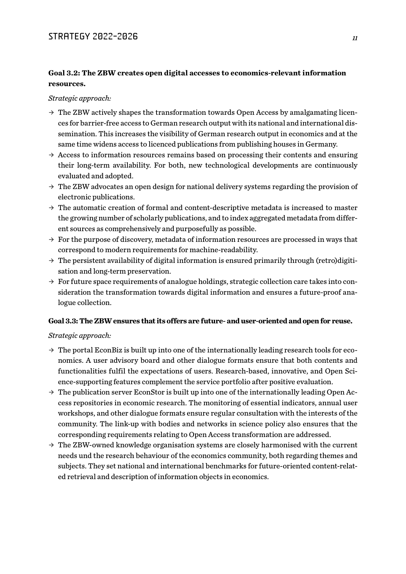#### **Goal 3.2: The ZBW creates open digital accesses to economics-relevant information resources.**

*Strategic approach:* 

- $\rightarrow$  The ZBW actively shapes the transformation towards Open Access by amalgamating licences for barrier-free access to German research output with its national and international dissemination. This increases the visibility of German research output in economics and at the same time widens access to licenced publications from publishing houses in Germany.
- $\rightarrow$  Access to information resources remains based on processing their contents and ensuring their long-term availability. For both, new technological developments are continuously evaluated and adopted.
- $\rightarrow$  The ZBW advocates an open design for national delivery systems regarding the provision of electronic publications.
- $\rightarrow$  The automatic creation of formal and content-descriptive metadata is increased to master the growing number of scholarly publications, and to index aggregated metadata from different sources as comprehensively and purposefully as possible.
- $\rightarrow$  For the purpose of discovery, metadata of information resources are processed in ways that correspond to modern requirements for machine-readability.
- $\rightarrow$  The persistent availability of digital information is ensured primarily through (retro)digitisation and long-term preservation.
- $\rightarrow$  For future space requirements of analogue holdings, strategic collection care takes into consideration the transformation towards digital information and ensures a future-proof analogue collection.

#### **Goal 3.3: The ZBW ensures that its offers are future- and user-oriented and open for reuse.**

- $\rightarrow$  The portal EconBiz is built up into one of the internationally leading research tools for economics. A user advisory board and other dialogue formats ensure that both contents and functionalities fulfil the expectations of users. Research-based, innovative, and Open Science-supporting features complement the service portfolio after positive evaluation.
- $\rightarrow$  The publication server EconStor is built up into one of the internationally leading Open Access repositories in economic research. The monitoring of essential indicators, annual user workshops, and other dialogue formats ensure regular consultation with the interests of the community. The link-up with bodies and networks in science policy also ensures that the corresponding requirements relating to Open Access transformation are addressed.
- $\rightarrow$  The ZBW-owned knowledge organisation systems are closely harmonised with the current needs und the research behaviour of the economics community, both regarding themes and subjects. They set national and international benchmarks for future-oriented content-related retrieval and description of information objects in economics.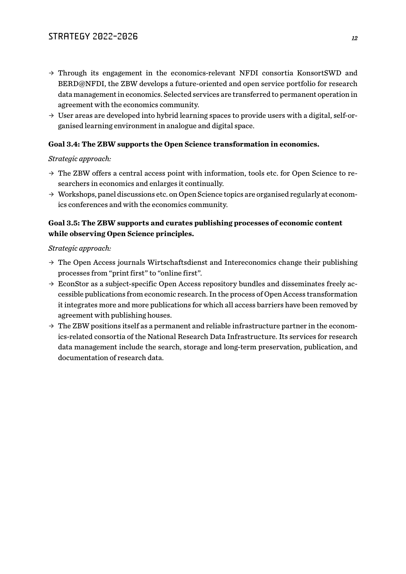- $\rightarrow$  Through its engagement in the economics-relevant NFDI consortia KonsortSWD and BERD@NFDI, the ZBW develops a future-oriented and open service portfolio for research data management in economics. Selected services are transferred to permanent operation in agreement with the economics community.
- $\rightarrow$  User areas are developed into hybrid learning spaces to provide users with a digital, self-organised learning environment in analogue and digital space.

#### **Goal 3.4: The ZBW supports the Open Science transformation in economics.**

#### *Strategic approach:*

- $\rightarrow$  The ZBW offers a central access point with information, tools etc. for Open Science to researchers in economics and enlarges it continually.
- $\rightarrow$  Workshops, panel discussions etc. on Open Science topics are organised regularly at economics conferences and with the economics community.

#### **Goal 3.5: The ZBW supports and curates publishing processes of economic content while observing Open Science principles.**

- $\rightarrow$  The Open Access journals Wirtschaftsdienst and Intereconomics change their publishing processes from "print first" to "online first".
- $\rightarrow$  EconStor as a subject-specific Open Access repository bundles and disseminates freely accessible publications from economic research. In the process of Open Access transformation it integrates more and more publications for which all access barriers have been removed by agreement with publishing houses.
- $\rightarrow$  The ZBW positions itself as a permanent and reliable infrastructure partner in the economics-related consortia of the National Research Data Infrastructure. Its services for research data management include the search, storage and long-term preservation, publication, and documentation of research data.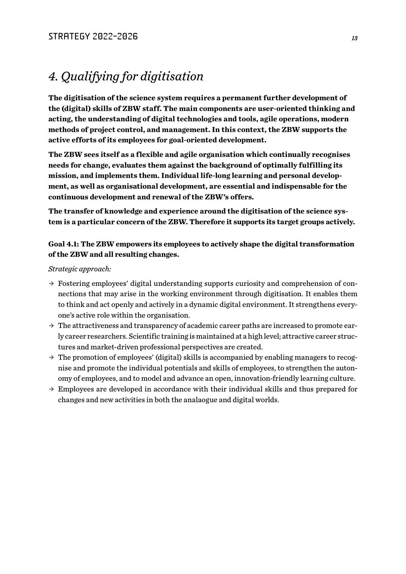## *4. Qualifying for digitisation*

**The digitisation of the science system requires a permanent further development of the (digital) skills of ZBW staff. The main components are user-oriented thinking and acting, the understanding of digital technologies and tools, agile operations, modern methods of project control, and management. In this context, the ZBW supports the active efforts of its employees for goal-oriented development.**

**The ZBW sees itself as a flexible and agile organisation which continually recognises needs for change, evaluates them against the background of optimally fulfilling its mission, and implements them. Individual life-long learning and personal development, as well as organisational development, are essential and indispensable for the continuous development and renewal of the ZBW's offers.**

**The transfer of knowledge and experience around the digitisation of the science system is a particular concern of the ZBW. Therefore it supports its target groups actively.**

#### **Goal 4.1: The ZBW empowers its employees to actively shape the digital transformation of the ZBW and all resulting changes.**

- $\rightarrow$  Fostering employees' digital understanding supports curiosity and comprehension of connections that may arise in the working environment through digitisation. It enables them to think and act openly and actively in a dynamic digital environment. It strengthens everyone's active role within the organisation.
- $\rightarrow$  The attractiveness and transparency of academic career paths are increased to promote early career researchers. Scientific training is maintained at a high level; attractive career structures and market-driven professional perspectives are created.
- $\rightarrow$  The promotion of employees' (digital) skills is accompanied by enabling managers to recognise and promote the individual potentials and skills of employees, to strengthen the autonomy of employees, and to model and advance an open, innovation-friendly learning culture.
- $\rightarrow$  Employees are developed in accordance with their individual skills and thus prepared for changes and new activities in both the analaogue and digital worlds.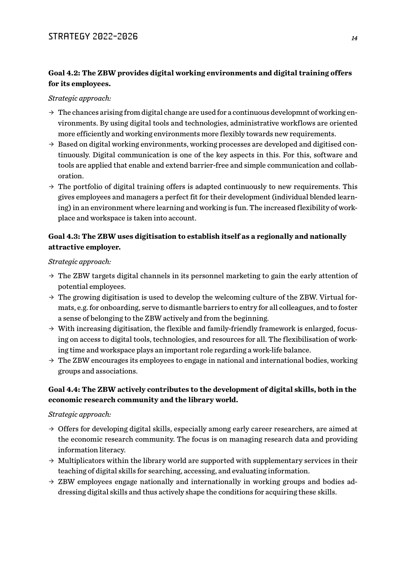#### **Goal 4.2: The ZBW provides digital working environments and digital training offers for its employees.**

#### *Strategic approach:*

- $\rightarrow$  The chances arising from digital change are used for a continuous developmnt of working environments. By using digital tools and technologies, administrative workflows are oriented more efficiently and working environments more flexibly towards new requirements.
- $\rightarrow$  Based on digital working environments, working processes are developed and digitised continuously. Digital communication is one of the key aspects in this. For this, software and tools are applied that enable and extend barrier-free and simple communication and collaboration.
- $\rightarrow$  The portfolio of digital training offers is adapted continuously to new requirements. This gives employees and managers a perfect fit for their development (individual blended learning) in an environment where learning and working is fun. The increased flexibility of workplace and workspace is taken into account.

#### **Goal 4.3: The ZBW uses digitisation to establish itself as a regionally and nationally attractive employer.**

*Strategic approach:*

- $\rightarrow$  The ZBW targets digital channels in its personnel marketing to gain the early attention of potential employees.
- $\rightarrow$  The growing digitisation is used to develop the welcoming culture of the ZBW. Virtual formats, e.g. for onboarding, serve to dismantle barriers to entry for all colleagues, and to foster a sense of belonging to the ZBW actively and from the beginning.
- $\rightarrow$  With increasing digitisation, the flexible and family-friendly framework is enlarged, focusing on access to digital tools, technologies, and resources for all. The flexibilisation of working time and workspace plays an important role regarding a work-life balance.
- $\rightarrow$  The ZBW encourages its employees to engage in national and international bodies, working groups and associations.

#### **Goal 4.4: The ZBW actively contributes to the development of digital skills, both in the economic research community and the library world.**

- $\rightarrow$  Offers for developing digital skills, especially among early career researchers, are aimed at the economic research community. The focus is on managing research data and providing information literacy.
- $\rightarrow$  Multiplicators within the library world are supported with supplementary services in their teaching of digital skills for searching, accessing, and evaluating information.
- $\rightarrow$  ZBW employees engage nationally and internationally in working groups and bodies addressing digital skills and thus actively shape the conditions for acquiring these skills.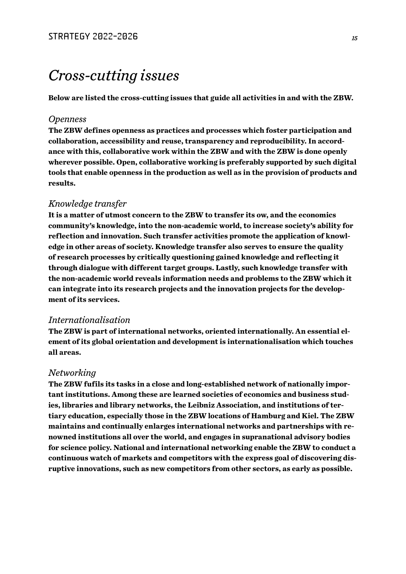# *Cross-cutting issues*

**Below are listed the cross-cutting issues that guide all activities in and with the ZBW.**

#### *Openness*

**The ZBW defines openness as practices and processes which foster participation and collaboration, accessibility and reuse, transparency and reproducibility. In accordance with this, collaborative work within the ZBW and with the ZBW is done openly wherever possible. Open, collaborative working is preferably supported by such digital tools that enable openness in the production as well as in the provision of products and results.**

#### *Knowledge transfer*

**It is a matter of utmost concern to the ZBW to transfer its ow, and the economics community's knowledge, into the non-academic world, to increase society's ability for reflection and innovation. Such transfer activities promote the application of knowledge in other areas of society. Knowledge transfer also serves to ensure the quality of research processes by critically questioning gained knowledge and reflecting it through dialogue with different target groups. Lastly, such knowledge transfer with the non-academic world reveals information needs and problems to the ZBW which it can integrate into its research projects and the innovation projects for the development of its services.**

#### *Internationalisation*

**The ZBW is part of international networks, oriented internationally. An essential element of its global orientation and development is internationalisation which touches all areas.**

#### *Networking*

**The ZBW fufils its tasks in a close and long-established network of nationally important institutions. Among these are learned societies of economics and business studies, libraries and library networks, the Leibniz Association, and institutions of tertiary education, especially those in the ZBW locations of Hamburg and Kiel. The ZBW maintains and continually enlarges international networks and partnerships with renowned institutions all over the world, and engages in supranational advisory bodies for science policy. National and international networking enable the ZBW to conduct a continuous watch of markets and competitors with the express goal of discovering disruptive innovations, such as new competitors from other sectors, as early as possible.**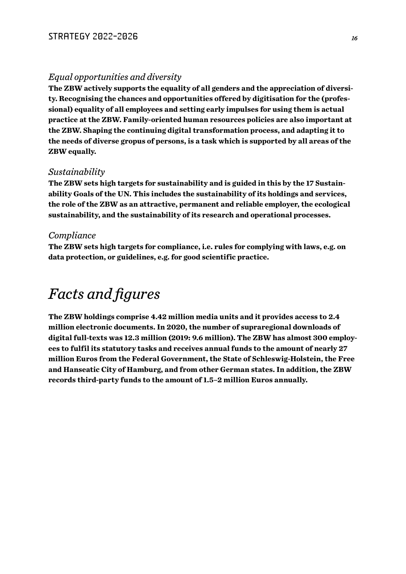#### *Equal opportunities and diversity*

**The ZBW actively supports the equality of all genders and the appreciation of diversity. Recognising the chances and opportunities offered by digitisation for the (professional) equality of all employees and setting early impulses for using them is actual practice at the ZBW. Family-oriented human resources policies are also important at the ZBW. Shaping the continuing digital transformation process, and adapting it to the needs of diverse gropus of persons, is a task which is supported by all areas of the ZBW equally.**

#### *Sustainability*

**The ZBW sets high targets for sustainability and is guided in this by the 17 Sustainability Goals of the UN. This includes the sustainability of its holdings and services, the role of the ZBW as an attractive, permanent and reliable employer, the ecological sustainability, and the sustainability of its research and operational processes.**

#### *Compliance*

**The ZBW sets high targets for compliance, i.e. rules for complying with laws, e.g. on data protection, or guidelines, e.g. for good scientific practice.**

# *Facts and figures*

**The ZBW holdings comprise 4.42 million media units and it provides access to 2.4 million electronic documents. In 2020, the number of supraregional downloads of digital full-texts was 12.3 million (2019: 9.6 million). The ZBW has almost 300 employees to fulfil its statutory tasks and receives annual funds to the amount of nearly 27 million Euros from the Federal Government, the State of Schleswig-Holstein, the Free and Hanseatic City of Hamburg, and from other German states. In addition, the ZBW records third-party funds to the amount of 1.5–2 million Euros annually.**